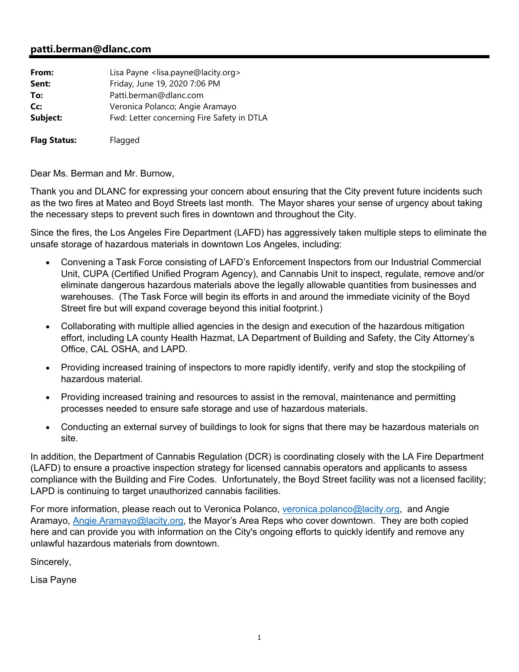## **patti.berman@dlanc.com**

| From:               | Lisa Payne <lisa.payne@lacity.org></lisa.payne@lacity.org> |
|---------------------|------------------------------------------------------------|
| Sent:               | Friday, June 19, 2020 7:06 PM                              |
| To:                 | Patti.berman@dlanc.com                                     |
| Cc:                 | Veronica Polanco; Angie Aramayo                            |
| Subject:            | Fwd: Letter concerning Fire Safety in DTLA                 |
| <b>Flag Status:</b> | Flagged                                                    |

Dear Ms. Berman and Mr. Burnow,

Thank you and DLANC for expressing your concern about ensuring that the City prevent future incidents such as the two fires at Mateo and Boyd Streets last month. The Mayor shares your sense of urgency about taking the necessary steps to prevent such fires in downtown and throughout the City.

Since the fires, the Los Angeles Fire Department (LAFD) has aggressively taken multiple steps to eliminate the unsafe storage of hazardous materials in downtown Los Angeles, including:

- Convening a Task Force consisting of LAFD's Enforcement Inspectors from our Industrial Commercial Unit, CUPA (Certified Unified Program Agency), and Cannabis Unit to inspect, regulate, remove and/or eliminate dangerous hazardous materials above the legally allowable quantities from businesses and warehouses. (The Task Force will begin its efforts in and around the immediate vicinity of the Boyd Street fire but will expand coverage beyond this initial footprint.)
- Collaborating with multiple allied agencies in the design and execution of the hazardous mitigation effort, including LA county Health Hazmat, LA Department of Building and Safety, the City Attorney's Office, CAL OSHA, and LAPD.
- Providing increased training of inspectors to more rapidly identify, verify and stop the stockpiling of hazardous material.
- Providing increased training and resources to assist in the removal, maintenance and permitting processes needed to ensure safe storage and use of hazardous materials.
- Conducting an external survey of buildings to look for signs that there may be hazardous materials on site.

In addition, the Department of Cannabis Regulation (DCR) is coordinating closely with the LA Fire Department (LAFD) to ensure a proactive inspection strategy for licensed cannabis operators and applicants to assess compliance with the Building and Fire Codes. Unfortunately, the Boyd Street facility was not a licensed facility; LAPD is continuing to target unauthorized cannabis facilities.

For more information, please reach out to Veronica Polanco, veronica.polanco@lacity.org, and Angie Aramayo, Angie.Aramayo@lacity.org, the Mayor's Area Reps who cover downtown. They are both copied here and can provide you with information on the City's ongoing efforts to quickly identify and remove any unlawful hazardous materials from downtown.

Sincerely,

Lisa Payne